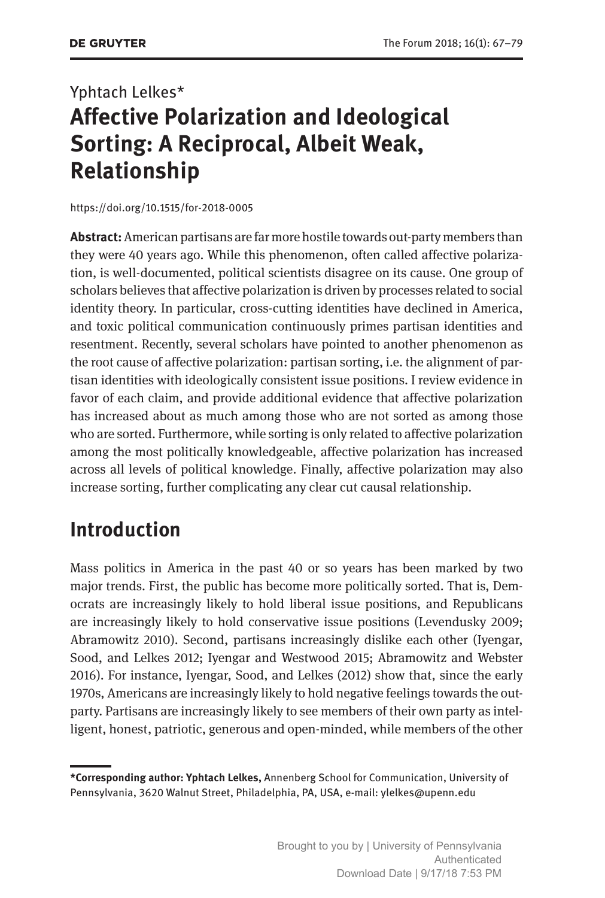# Yphtach Lelkes\* **Affective Polarization and Ideological Sorting: A Reciprocal, Albeit Weak, Relationship**

<https://doi.org/10.1515/for-2018-0005>

**Abstract:** American partisans are far more hostile towards out-party members than they were 40 years ago. While this phenomenon, often called affective polarization, is well-documented, political scientists disagree on its cause. One group of scholars believes that affective polarization is driven by processes related to social identity theory. In particular, cross-cutting identities have declined in America, and toxic political communication continuously primes partisan identities and resentment. Recently, several scholars have pointed to another phenomenon as the root cause of affective polarization: partisan sorting, i.e. the alignment of partisan identities with ideologically consistent issue positions. I review evidence in favor of each claim, and provide additional evidence that affective polarization has increased about as much among those who are not sorted as among those who are sorted. Furthermore, while sorting is only related to affective polarization among the most politically knowledgeable, affective polarization has increased across all levels of political knowledge. Finally, affective polarization may also increase sorting, further complicating any clear cut causal relationship.

#### **Introduction**

Mass politics in America in the past 40 or so years has been marked by two major trends. First, the public has become more politically sorted. That is, Democrats are increasingly likely to hold liberal issue positions, and Republicans are increasingly likely to hold conservative issue positions (Levendusky 2009; Abramowitz 2010). Second, partisans increasingly dislike each other (Iyengar, Sood, and Lelkes 2012; Iyengar and Westwood 2015; Abramowitz and Webster 2016). For instance, Iyengar, Sood, and Lelkes (2012) show that, since the early 1970s, Americans are increasingly likely to hold negative feelings towards the outparty. Partisans are increasingly likely to see members of their own party as intelligent, honest, patriotic, generous and open-minded, while members of the other

**<sup>\*</sup>Corresponding author: Yphtach Lelkes,** Annenberg School for Communication, University of Pennsylvania, 3620 Walnut Street, Philadelphia, PA, USA, e-mail: [ylelkes@upenn.edu](mailto:ylelkes@upenn.edu)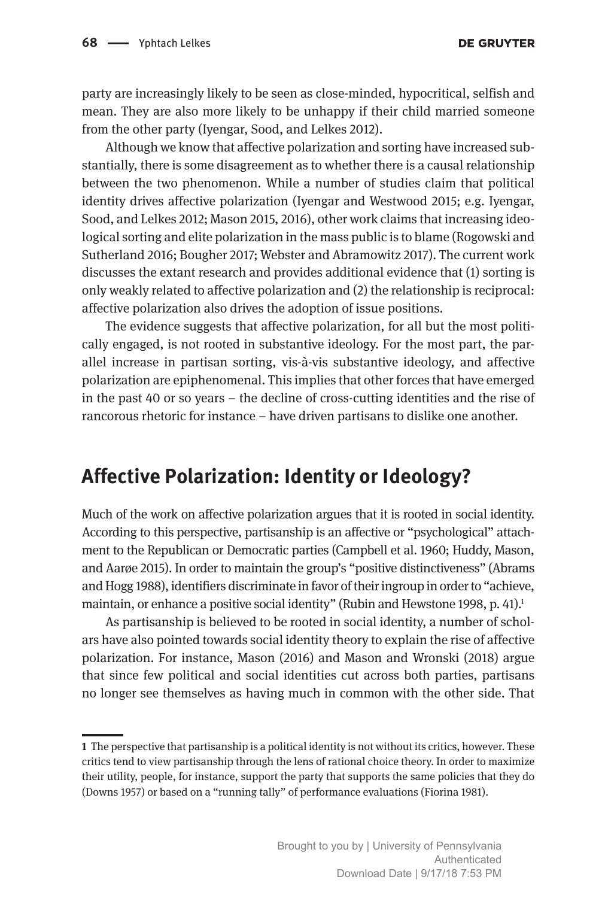party are increasingly likely to be seen as close-minded, hypocritical, selfish and mean. They are also more likely to be unhappy if their child married someone from the other party (Iyengar, Sood, and Lelkes 2012).

Although we know that affective polarization and sorting have increased substantially, there is some disagreement as to whether there is a causal relationship between the two phenomenon. While a number of studies claim that political identity drives affective polarization (Iyengar and Westwood 2015; e.g. Iyengar, Sood, and Lelkes 2012; Mason 2015, 2016), other work claims that increasing ideological sorting and elite polarization in the mass public is to blame (Rogowski and Sutherland 2016; Bougher 2017; Webster and Abramowitz 2017). The current work discusses the extant research and provides additional evidence that (1) sorting is only weakly related to affective polarization and (2) the relationship is reciprocal: affective polarization also drives the adoption of issue positions.

The evidence suggests that affective polarization, for all but the most politically engaged, is not rooted in substantive ideology. For the most part, the parallel increase in partisan sorting, vis-à-vis substantive ideology, and affective polarization are epiphenomenal. This implies that other forces that have emerged in the past 40 or so years – the decline of cross-cutting identities and the rise of rancorous rhetoric for instance – have driven partisans to dislike one another.

#### **Affective Polarization: Identity or Ideology?**

Much of the work on affective polarization argues that it is rooted in social identity. According to this perspective, partisanship is an affective or "psychological" attachment to the Republican or Democratic parties (Campbell et al. 1960; Huddy, Mason, and Aarøe 2015). In order to maintain the group's "positive distinctiveness" (Abrams and Hogg 1988), identifiers discriminate in favor of their ingroup in order to "achieve, maintain, or enhance a positive social identity" (Rubin and Hewstone 1998, p. 41).<sup>1</sup>

As partisanship is believed to be rooted in social identity, a number of scholars have also pointed towards social identity theory to explain the rise of affective polarization. For instance, Mason (2016) and Mason and Wronski (2018) argue that since few political and social identities cut across both parties, partisans no longer see themselves as having much in common with the other side. That

**<sup>1</sup>** The perspective that partisanship is a political identity is not without its critics, however. These critics tend to view partisanship through the lens of rational choice theory. In order to maximize their utility, people, for instance, support the party that supports the same policies that they do (Downs 1957) or based on a "running tally" of performance evaluations (Fiorina 1981).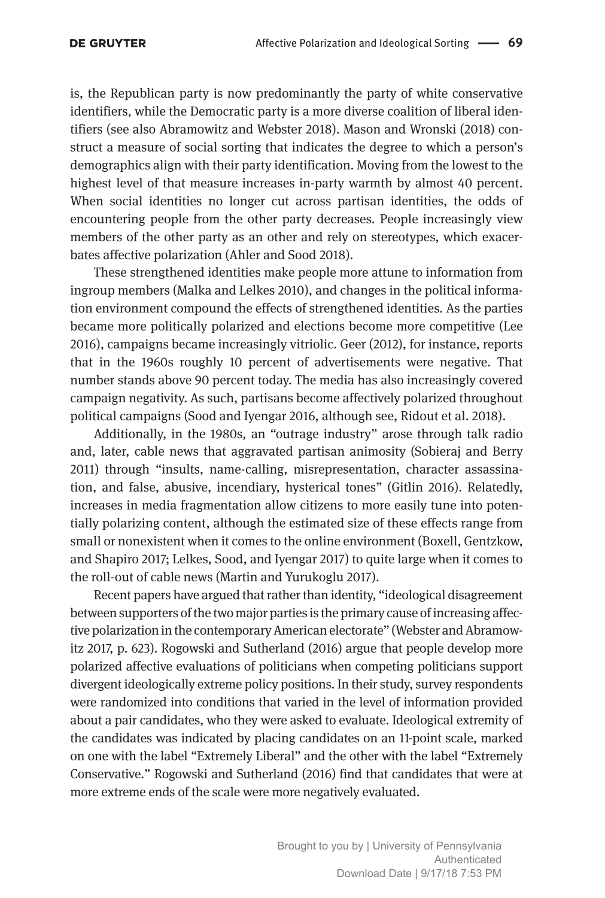is, the Republican party is now predominantly the party of white conservative identifiers, while the Democratic party is a more diverse coalition of liberal identifiers (see also Abramowitz and Webster 2018). Mason and Wronski (2018) construct a measure of social sorting that indicates the degree to which a person's demographics align with their party identification. Moving from the lowest to the highest level of that measure increases in-party warmth by almost 40 percent. When social identities no longer cut across partisan identities, the odds of encountering people from the other party decreases. People increasingly view members of the other party as an other and rely on stereotypes, which exacerbates affective polarization (Ahler and Sood 2018).

These strengthened identities make people more attune to information from ingroup members (Malka and Lelkes 2010), and changes in the political information environment compound the effects of strengthened identities. As the parties became more politically polarized and elections become more competitive (Lee 2016), campaigns became increasingly vitriolic. Geer (2012), for instance, reports that in the 1960s roughly 10 percent of advertisements were negative. That number stands above 90 percent today. The media has also increasingly covered campaign negativity. As such, partisans become affectively polarized throughout political campaigns (Sood and Iyengar 2016, although see, Ridout et al. 2018).

Additionally, in the 1980s, an "outrage industry" arose through talk radio and, later, cable news that aggravated partisan animosity (Sobieraj and Berry 2011) through "insults, name-calling, misrepresentation, character assassination, and false, abusive, incendiary, hysterical tones" (Gitlin 2016). Relatedly, increases in media fragmentation allow citizens to more easily tune into potentially polarizing content, although the estimated size of these effects range from small or nonexistent when it comes to the online environment (Boxell, Gentzkow, and Shapiro 2017; Lelkes, Sood, and Iyengar 2017) to quite large when it comes to the roll-out of cable news (Martin and Yurukoglu 2017).

Recent papers have argued that rather than identity, "ideological disagreement between supporters of the two major parties is the primary cause of increasing affective polarization in the contemporary American electorate" (Webster and Abramowitz 2017, p. 623). Rogowski and Sutherland (2016) argue that people develop more polarized affective evaluations of politicians when competing politicians support divergent ideologically extreme policy positions. In their study, survey respondents were randomized into conditions that varied in the level of information provided about a pair candidates, who they were asked to evaluate. Ideological extremity of the candidates was indicated by placing candidates on an 11-point scale, marked on one with the label "Extremely Liberal" and the other with the label "Extremely Conservative." Rogowski and Sutherland (2016) find that candidates that were at more extreme ends of the scale were more negatively evaluated.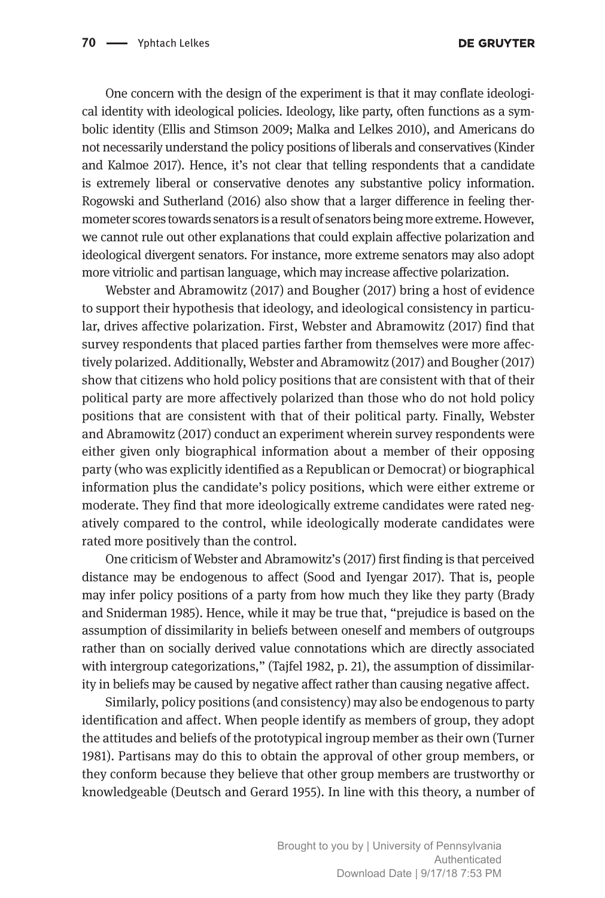One concern with the design of the experiment is that it may conflate ideological identity with ideological policies. Ideology, like party, often functions as a symbolic identity (Ellis and Stimson 2009; Malka and Lelkes 2010), and Americans do not necessarily understand the policy positions of liberals and conservatives (Kinder and Kalmoe 2017). Hence, it's not clear that telling respondents that a candidate is extremely liberal or conservative denotes any substantive policy information. Rogowski and Sutherland (2016) also show that a larger difference in feeling thermometer scores towards senators is a result of senators being more extreme. However, we cannot rule out other explanations that could explain affective polarization and ideological divergent senators. For instance, more extreme senators may also adopt more vitriolic and partisan language, which may increase affective polarization.

Webster and Abramowitz (2017) and Bougher (2017) bring a host of evidence to support their hypothesis that ideology, and ideological consistency in particular, drives affective polarization. First, Webster and Abramowitz (2017) find that survey respondents that placed parties farther from themselves were more affectively polarized. Additionally, Webster and Abramowitz (2017) and Bougher (2017) show that citizens who hold policy positions that are consistent with that of their political party are more affectively polarized than those who do not hold policy positions that are consistent with that of their political party. Finally, Webster and Abramowitz (2017) conduct an experiment wherein survey respondents were either given only biographical information about a member of their opposing party (who was explicitly identified as a Republican or Democrat) or biographical information plus the candidate's policy positions, which were either extreme or moderate. They find that more ideologically extreme candidates were rated negatively compared to the control, while ideologically moderate candidates were rated more positively than the control.

One criticism of Webster and Abramowitz's (2017) first finding is that perceived distance may be endogenous to affect (Sood and Iyengar 2017). That is, people may infer policy positions of a party from how much they like they party (Brady and Sniderman 1985). Hence, while it may be true that, "prejudice is based on the assumption of dissimilarity in beliefs between oneself and members of outgroups rather than on socially derived value connotations which are directly associated with intergroup categorizations," (Tajfel 1982, p. 21), the assumption of dissimilarity in beliefs may be caused by negative affect rather than causing negative affect.

Similarly, policy positions (and consistency) may also be endogenous to party identification and affect. When people identify as members of group, they adopt the attitudes and beliefs of the prototypical ingroup member as their own (Turner 1981). Partisans may do this to obtain the approval of other group members, or they conform because they believe that other group members are trustworthy or knowledgeable (Deutsch and Gerard 1955). In line with this theory, a number of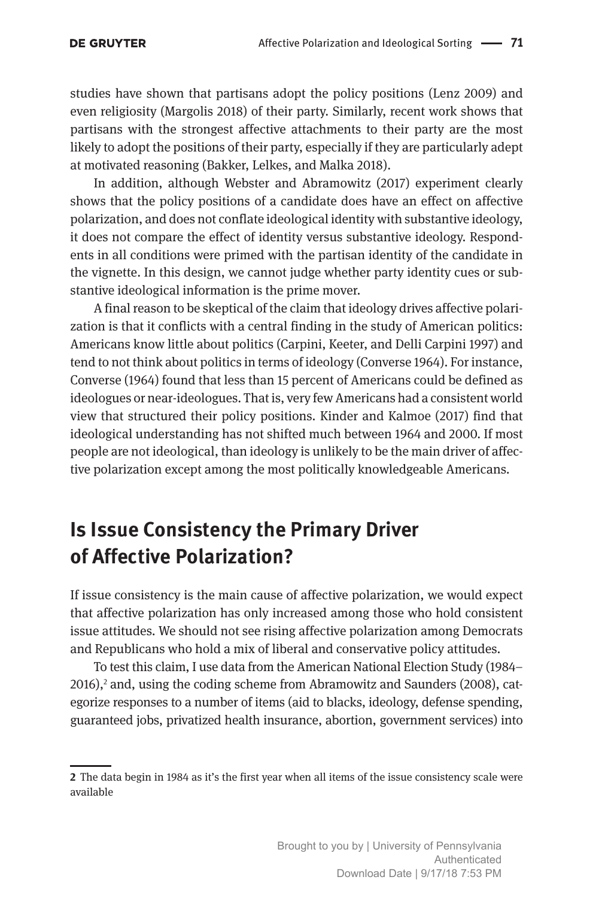studies have shown that partisans adopt the policy positions (Lenz 2009) and even religiosity (Margolis 2018) of their party. Similarly, recent work shows that partisans with the strongest affective attachments to their party are the most likely to adopt the positions of their party, especially if they are particularly adept at motivated reasoning (Bakker, Lelkes, and Malka 2018).

In addition, although Webster and Abramowitz (2017) experiment clearly shows that the policy positions of a candidate does have an effect on affective polarization, and does not conflate ideological identity with substantive ideology, it does not compare the effect of identity versus substantive ideology. Respondents in all conditions were primed with the partisan identity of the candidate in the vignette. In this design, we cannot judge whether party identity cues or substantive ideological information is the prime mover.

A final reason to be skeptical of the claim that ideology drives affective polarization is that it conflicts with a central finding in the study of American politics: Americans know little about politics (Carpini, Keeter, and Delli Carpini 1997) and tend to not think about politics in terms of ideology (Converse 1964). For instance, Converse (1964) found that less than 15 percent of Americans could be defined as ideologues or near-ideologues. That is, very few Americans had a consistent world view that structured their policy positions. Kinder and Kalmoe (2017) find that ideological understanding has not shifted much between 1964 and 2000. If most people are not ideological, than ideology is unlikely to be the main driver of affective polarization except among the most politically knowledgeable Americans.

## **Is Issue Consistency the Primary Driver of Affective Polarization?**

If issue consistency is the main cause of affective polarization, we would expect that affective polarization has only increased among those who hold consistent issue attitudes. We should not see rising affective polarization among Democrats and Republicans who hold a mix of liberal and conservative policy attitudes.

To test this claim, I use data from the American National Election Study (1984– 2016),<sup>2</sup> and, using the coding scheme from Abramowitz and Saunders (2008), categorize responses to a number of items (aid to blacks, ideology, defense spending, guaranteed jobs, privatized health insurance, abortion, government services) into

**<sup>2</sup>** The data begin in 1984 as it's the first year when all items of the issue consistency scale were available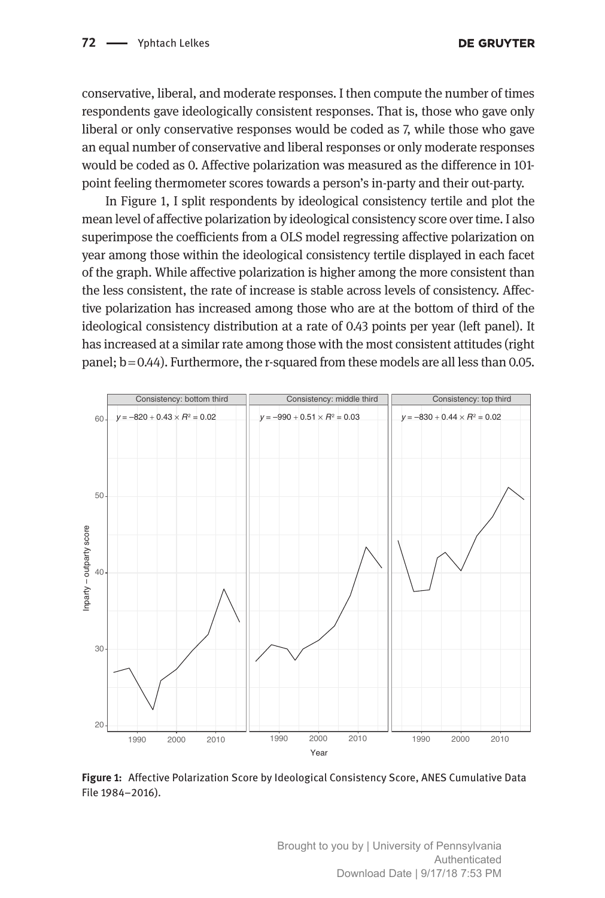conservative, liberal, and moderate responses. I then compute the number of times respondents gave ideologically consistent responses. That is, those who gave only liberal or only conservative responses would be coded as 7, while those who gave an equal number of conservative and liberal responses or only moderate responses would be coded as 0. Affective polarization was measured as the difference in 101 point feeling thermometer scores towards a person's in-party and their out-party.

In Figure 1, I split respondents by ideological consistency tertile and plot the mean level of affective polarization by ideological consistency score over time. I also superimpose the coefficients from a OLS model regressing affective polarization on year among those within the ideological consistency tertile displayed in each facet of the graph. While affective polarization is higher among the more consistent than the less consistent, the rate of increase is stable across levels of consistency. Affective polarization has increased among those who are at the bottom of third of the ideological consistency distribution at a rate of 0.43 points per year (left panel). It has increased at a similar rate among those with the most consistent attitudes (right panel;  $b = 0.44$ ). Furthermore, the r-squared from these models are all less than 0.05.



**Figure 1:** Affective Polarization Score by Ideological Consistency Score, ANES Cumulative Data File 1984–2016).

Brought to you by | University of Pennsylvania Authenticated Download Date | 9/17/18 7:53 PM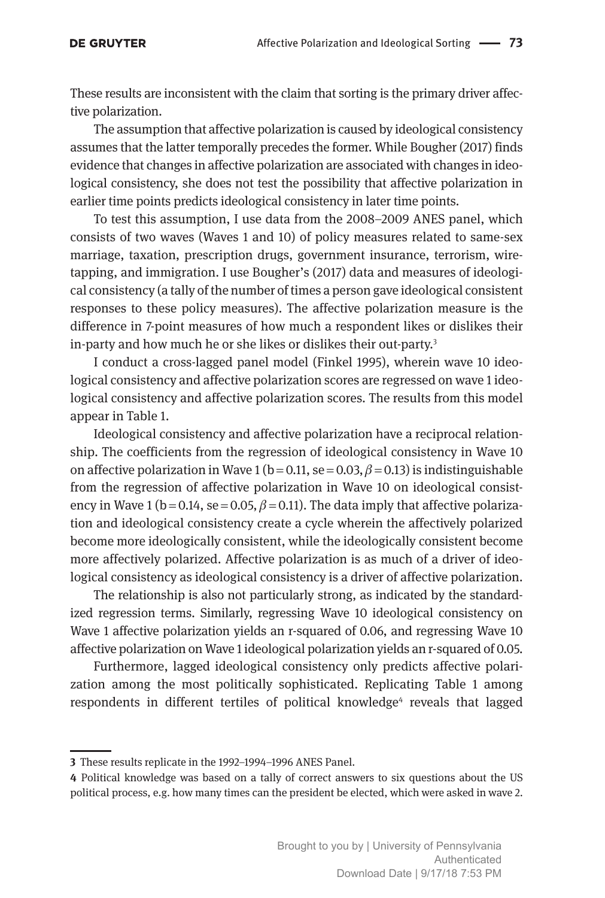These results are inconsistent with the claim that sorting is the primary driver affective polarization.

The assumption that affective polarization is caused by ideological consistency assumes that the latter temporally precedes the former. While Bougher (2017) finds evidence that changes in affective polarization are associated with changes in ideological consistency, she does not test the possibility that affective polarization in earlier time points predicts ideological consistency in later time points.

To test this assumption, I use data from the 2008–2009 ANES panel, which consists of two waves (Waves 1 and 10) of policy measures related to same-sex marriage, taxation, prescription drugs, government insurance, terrorism, wiretapping, and immigration. I use Bougher's (2017) data and measures of ideological consistency (a tally of the number of times a person gave ideological consistent responses to these policy measures). The affective polarization measure is the difference in 7-point measures of how much a respondent likes or dislikes their in-party and how much he or she likes or dislikes their out-party.<sup>3</sup>

I conduct a cross-lagged panel model (Finkel 1995), wherein wave 10 ideological consistency and affective polarization scores are regressed on wave 1 ideological consistency and affective polarization scores. The results from this model appear in Table 1.

Ideological consistency and affective polarization have a reciprocal relationship. The coefficients from the regression of ideological consistency in Wave 10 on affective polarization in Wave 1 (b = 0.11, se = 0.03,  $\beta$  = 0.13) is indistinguishable from the regression of affective polarization in Wave 10 on ideological consistency in Wave 1 (b=0.14, se=0.05,  $\beta$ =0.11). The data imply that affective polarization and ideological consistency create a cycle wherein the affectively polarized become more ideologically consistent, while the ideologically consistent become more affectively polarized. Affective polarization is as much of a driver of ideological consistency as ideological consistency is a driver of affective polarization.

The relationship is also not particularly strong, as indicated by the standardized regression terms. Similarly, regressing Wave 10 ideological consistency on Wave 1 affective polarization yields an r-squared of 0.06, and regressing Wave 10 affective polarization on Wave 1 ideological polarization yields an r-squared of 0.05.

Furthermore, lagged ideological consistency only predicts affective polarization among the most politically sophisticated. Replicating Table 1 among respondents in different tertiles of political knowledge<sup>4</sup> reveals that lagged

**<sup>3</sup>** These results replicate in the 1992–1994–1996 ANES Panel.

**<sup>4</sup>** Political knowledge was based on a tally of correct answers to six questions about the US political process, e.g. how many times can the president be elected, which were asked in wave 2.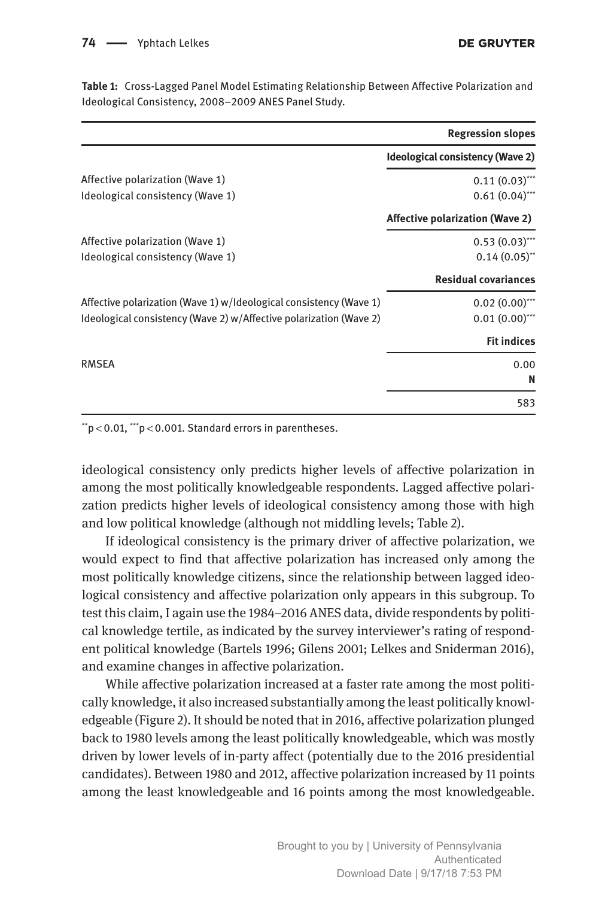74 - Yphtach Lelkes

|                                                                    | <b>Regression slopes</b>                |
|--------------------------------------------------------------------|-----------------------------------------|
|                                                                    | <b>Ideological consistency (Wave 2)</b> |
| Affective polarization (Wave 1)                                    | $0.11(0.03)$ ***                        |
| Ideological consistency (Wave 1)                                   | $0.61(0.04)$ ***                        |
|                                                                    | <b>Affective polarization (Wave 2)</b>  |
| Affective polarization (Wave 1)                                    | $0.53(0.03)$ ***                        |
| Ideological consistency (Wave 1)                                   | $0.14(0.05)$ <sup>**</sup>              |
|                                                                    | <b>Residual covariances</b>             |
| Affective polarization (Wave 1) w/Ideological consistency (Wave 1) | $0.02(0.00)$ ***                        |
| Ideological consistency (Wave 2) w/Affective polarization (Wave 2) | $0.01(0.00)$ ***                        |
|                                                                    | <b>Fit indices</b>                      |
| <b>RMSEA</b>                                                       | 0.00                                    |
|                                                                    | N                                       |
|                                                                    | 583                                     |

**Table 1:** Cross-Lagged Panel Model Estimating Relationship Between Affective Polarization and Ideological Consistency, 2008–2009 ANES Panel Study.

 $*$ <sup>t</sup> $p$  < 0.01,  $*$  $p$  < 0.001. Standard errors in parentheses.

ideological consistency only predicts higher levels of affective polarization in among the most politically knowledgeable respondents. Lagged affective polarization predicts higher levels of ideological consistency among those with high and low political knowledge (although not middling levels; Table 2).

If ideological consistency is the primary driver of affective polarization, we would expect to find that affective polarization has increased only among the most politically knowledge citizens, since the relationship between lagged ideological consistency and affective polarization only appears in this subgroup. To test this claim, I again use the 1984–2016 ANES data, divide respondents by political knowledge tertile, as indicated by the survey interviewer's rating of respondent political knowledge (Bartels 1996; Gilens 2001; Lelkes and Sniderman 2016), and examine changes in affective polarization.

While affective polarization increased at a faster rate among the most politically knowledge, it also increased substantially among the least politically knowledgeable (Figure 2). It should be noted that in 2016, affective polarization plunged back to 1980 levels among the least politically knowledgeable, which was mostly driven by lower levels of in-party affect (potentially due to the 2016 presidential candidates). Between 1980 and 2012, affective polarization increased by 11 points among the least knowledgeable and 16 points among the most knowledgeable.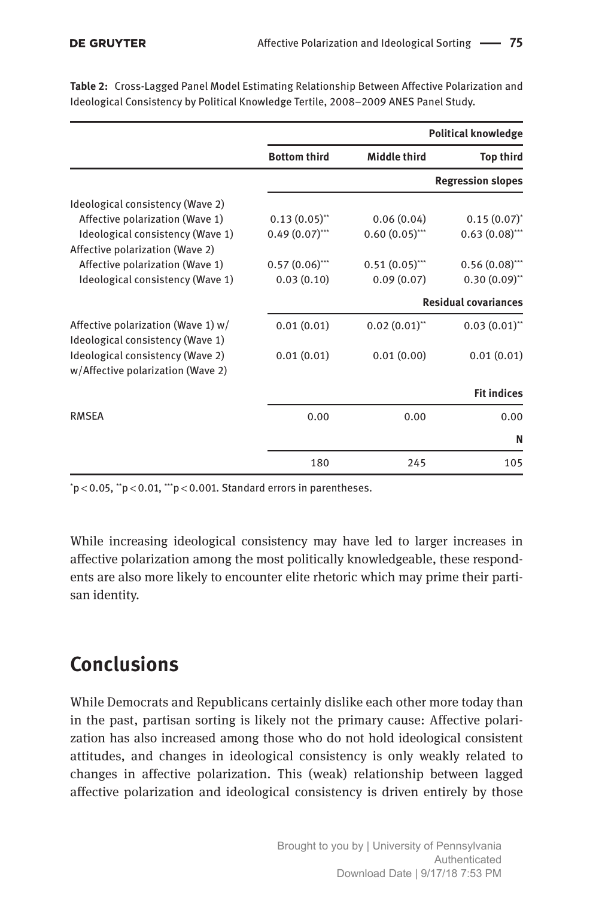|                                                                        |                          | <b>Political knowledge</b> |                             |  |
|------------------------------------------------------------------------|--------------------------|----------------------------|-----------------------------|--|
|                                                                        | <b>Bottom third</b>      | <b>Middle third</b>        | <b>Top third</b>            |  |
|                                                                        | <b>Regression slopes</b> |                            |                             |  |
| Ideological consistency (Wave 2)                                       |                          |                            |                             |  |
| Affective polarization (Wave 1)                                        | $0.13(0.05)$ **          | 0.06(0.04)                 | $0.15(0.07)^{*}$            |  |
| Ideological consistency (Wave 1)                                       | $0.49(0.07)$ ***         | $0.60(0.05)$ ***           | $0.63(0.08)$ ***            |  |
| Affective polarization (Wave 2)                                        |                          |                            |                             |  |
| Affective polarization (Wave 1)                                        | $0.57(0.06)$ ***         | $0.51(0.05)$ ***           | $0.56(0.08)$ ***            |  |
| Ideological consistency (Wave 1)                                       | 0.03(0.10)               | 0.09(0.07)                 | $0.30(0.09)$ **             |  |
|                                                                        |                          |                            | <b>Residual covariances</b> |  |
| Affective polarization (Wave 1) w/<br>Ideological consistency (Wave 1) | 0.01(0.01)               | $0.02(0.01)$ **            | $0.03(0.01)$ **             |  |
| Ideological consistency (Wave 2)<br>w/Affective polarization (Wave 2)  | 0.01(0.01)               | 0.01(0.00)                 | 0.01(0.01)                  |  |
|                                                                        |                          |                            | <b>Fit indices</b>          |  |
| <b>RMSEA</b>                                                           | 0.00                     | 0.00                       | 0.00                        |  |
|                                                                        |                          |                            | N                           |  |
|                                                                        | 180                      | 245                        | 105                         |  |

**Table 2:** Cross-Lagged Panel Model Estimating Relationship Between Affective Polarization and Ideological Consistency by Political Knowledge Tertile, 2008–2009 ANES Panel Study.

 $\mathrm{^*p}\!<\!0.05$ ,  $\mathrm{^*p}\!<\!0.01$ ,  $\mathrm{^*p}\!<\!0.001$ . Standard errors in parentheses.

While increasing ideological consistency may have led to larger increases in affective polarization among the most politically knowledgeable, these respondents are also more likely to encounter elite rhetoric which may prime their partisan identity.

## **Conclusions**

While Democrats and Republicans certainly dislike each other more today than in the past, partisan sorting is likely not the primary cause: Affective polarization has also increased among those who do not hold ideological consistent attitudes, and changes in ideological consistency is only weakly related to changes in affective polarization. This (weak) relationship between lagged affective polarization and ideological consistency is driven entirely by those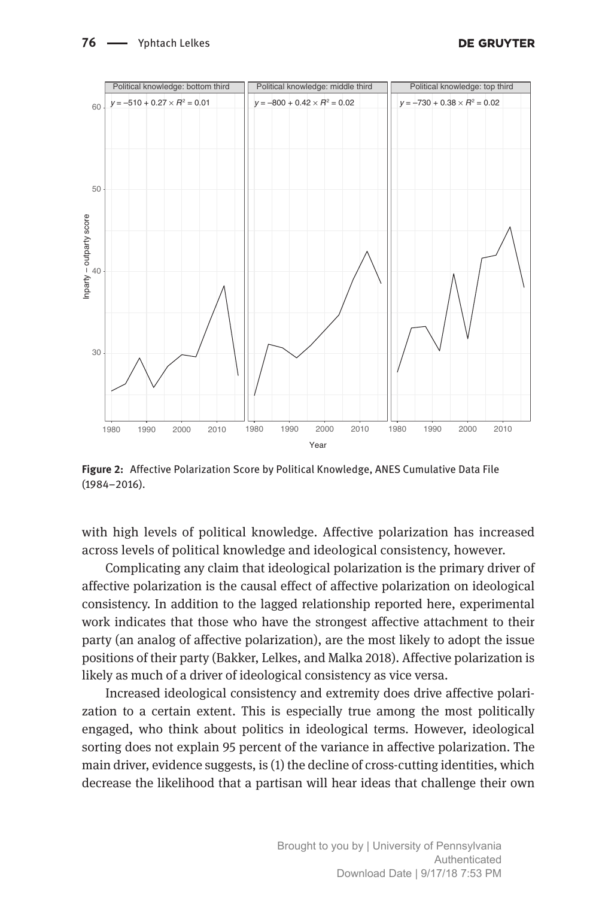

**Figure 2:** Affective Polarization Score by Political Knowledge, ANES Cumulative Data File (1984–2016).

with high levels of political knowledge. Affective polarization has increased across levels of political knowledge and ideological consistency, however.

Complicating any claim that ideological polarization is the primary driver of affective polarization is the causal effect of affective polarization on ideological consistency. In addition to the lagged relationship reported here, experimental work indicates that those who have the strongest affective attachment to their party (an analog of affective polarization), are the most likely to adopt the issue positions of their party (Bakker, Lelkes, and Malka 2018). Affective polarization is likely as much of a driver of ideological consistency as vice versa.

Increased ideological consistency and extremity does drive affective polarization to a certain extent. This is especially true among the most politically engaged, who think about politics in ideological terms. However, ideological sorting does not explain 95 percent of the variance in affective polarization. The main driver, evidence suggests, is (1) the decline of cross-cutting identities, which decrease the likelihood that a partisan will hear ideas that challenge their own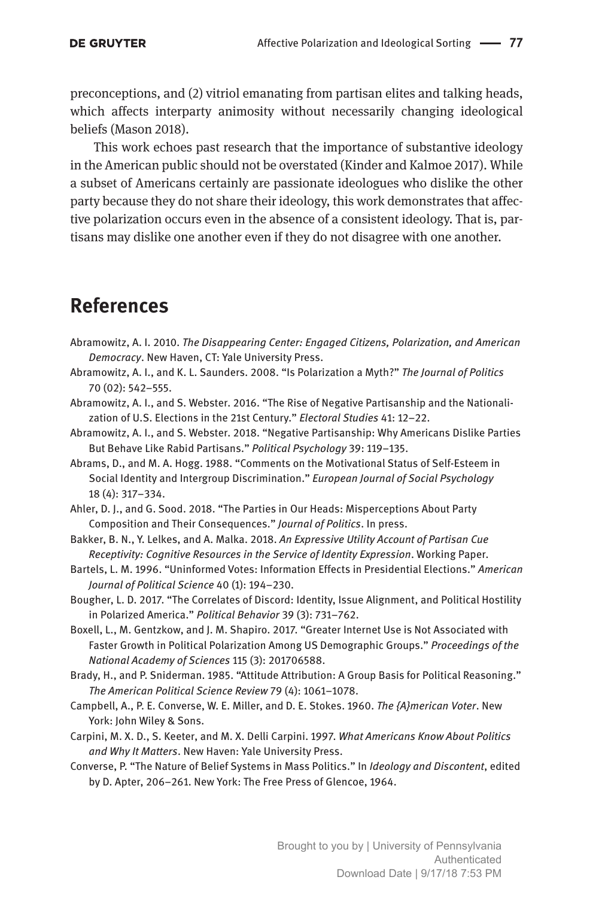preconceptions, and (2) vitriol emanating from partisan elites and talking heads, which affects interparty animosity without necessarily changing ideological beliefs (Mason 2018).

This work echoes past research that the importance of substantive ideology in the American public should not be overstated (Kinder and Kalmoe 2017). While a subset of Americans certainly are passionate ideologues who dislike the other party because they do not share their ideology, this work demonstrates that affective polarization occurs even in the absence of a consistent ideology. That is, partisans may dislike one another even if they do not disagree with one another.

### **References**

- Abramowitz, A. I. 2010. *The Disappearing Center: Engaged Citizens, Polarization, and American Democracy*. New Haven, CT: Yale University Press.
- Abramowitz, A. I., and K. L. Saunders. 2008. "Is Polarization a Myth?" *The Journal of Politics* 70 (02): 542–555.
- Abramowitz, A. I., and S. Webster. 2016. "The Rise of Negative Partisanship and the Nationalization of U.S. Elections in the 21st Century." *Electoral Studies* 41: 12–22.
- Abramowitz, A. I., and S. Webster. 2018. "Negative Partisanship: Why Americans Dislike Parties But Behave Like Rabid Partisans." *Political Psychology* 39: 119–135.
- Abrams, D., and M. A. Hogg. 1988. "Comments on the Motivational Status of Self-Esteem in Social Identity and Intergroup Discrimination." *European Journal of Social Psychology* 18 (4): 317–334.
- Ahler, D. J., and G. Sood. 2018. "The Parties in Our Heads: Misperceptions About Party Composition and Their Consequences." *Journal of Politics*. In press.
- Bakker, B. N., Y. Lelkes, and A. Malka. 2018. *An Expressive Utility Account of Partisan Cue Receptivity: Cognitive Resources in the Service of Identity Expression*. Working Paper.
- Bartels, L. M. 1996. "Uninformed Votes: Information Effects in Presidential Elections." *American Journal of Political Science* 40 (1): 194–230.
- Bougher, L. D. 2017. "The Correlates of Discord: Identity, Issue Alignment, and Political Hostility in Polarized America." *Political Behavior* 39 (3): 731–762.
- Boxell, L., M. Gentzkow, and J. M. Shapiro. 2017. "Greater Internet Use is Not Associated with Faster Growth in Political Polarization Among US Demographic Groups." *Proceedings of the National Academy of Sciences* 115 (3): 201706588.
- Brady, H., and P. Sniderman. 1985. "Attitude Attribution: A Group Basis for Political Reasoning." *The American Political Science Review* 79 (4): 1061–1078.
- Campbell, A., P. E. Converse, W. E. Miller, and D. E. Stokes. 1960. *The {A}merican Voter*. New York: John Wiley & Sons.
- Carpini, M. X. D., S. Keeter, and M. X. Delli Carpini. 1997. *What Americans Know About Politics and Why It Matters*. New Haven: Yale University Press.
- Converse, P. "The Nature of Belief Systems in Mass Politics." In *Ideology and Discontent*, edited by D. Apter, 206–261. New York: The Free Press of Glencoe, 1964.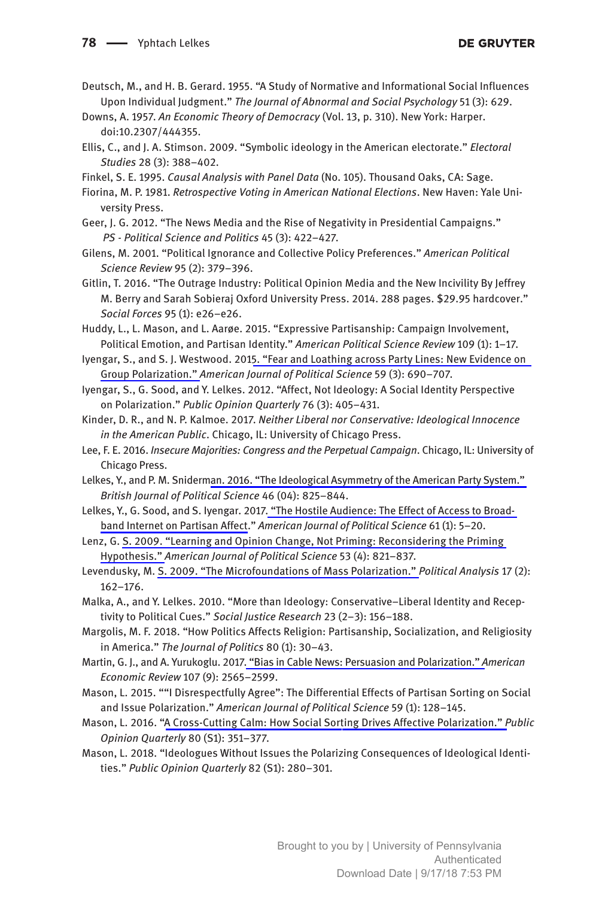- Deutsch, M., and H. B. Gerard. 1955. "A Study of Normative and Informational Social Influences Upon Individual Judgment." *The Journal of Abnormal and Social Psychology* 51 (3): 629.
- Downs, A. 1957. *An Economic Theory of Democracy* (Vol. 13, p. 310). New York: Harper. doi:10.2307/444355.
- Ellis, C., and J. A. Stimson. 2009. "Symbolic ideology in the American electorate." *Electoral Studies* 28 (3): 388–402.
- Finkel, S. E. 1995. *Causal Analysis with Panel Data* (No. 105). Thousand Oaks, CA: Sage.
- Fiorina, M. P. 1981. *Retrospective Voting in American National Elections*. New Haven: Yale University Press.
- Geer, J. G. 2012. "The News Media and the Rise of Negativity in Presidential Campaigns." *PS - Political Science and Politics* 45 (3): 422–427.
- Gilens, M. 2001. "Political Ignorance and Collective Policy Preferences." *American Political Science Review* 95 (2): 379–396.
- Gitlin, T. 2016. "The Outrage Industry: Political Opinion Media and the New Incivility By Jeffrey M. Berry and Sarah Sobieraj Oxford University Press. 2014. 288 pages. \$29.95 hardcover." *Social Forces* 95 (1): e26–e26.
- Huddy, L., L. Mason, and L. Aarøe. 2015. "Expressive Partisanship: Campaign Involvement, Political Emotion, and Partisan Identity." *American Political Science Review* 109 (1): 1–17.
- Iyengar, S., and S. J. Westwood. 2015. "Fear and Loathing across Party Lines: New Evidence on Group Polarization." *American Journal of Political Science* 59 (3): 690–707.
- Iyengar, S., G. Sood, and Y. Lelkes. 2012. "Affect, Not Ideology: A Social Identity Perspective on Polarization." *Public Opinion Quarterly* 76 (3): 405–431.
- Kinder, D. R., and N. P. Kalmoe. 2017. *Neither Liberal nor Conservative: Ideological Innocence in the American Public*. Chicago, IL: University of Chicago Press.
- Lee, F. E. 2016. *Insecure Majorities: Congress and the Perpetual Campaign*. Chicago, IL: University of Chicago Press.
- Lelkes, Y., and P. M. Sniderman. 2016. "The Ideological Asymmetry of the American Party System." *British Journal of Political Science* 46 (04): 825–844.
- Lelkes, Y., G. Sood, and S. Iyengar. 2017. "The Hostile Audience: The Effect of Access to Broadband Internet on Partisan Affect." *American Journal of Political Science* 61 (1): 5–20.
- Lenz, G. S. 2009. "Learning and Opinion Change, Not Priming: Reconsidering the Priming Hypothesis." *American Journal of Political Science* 53 (4): 821–837.
- Levendusky, M. S. 2009. "The Microfoundations of Mass Polarization." *Political Analysis* 17 (2): 162–176.
- Malka, A., and Y. Lelkes. 2010. "More than Ideology: Conservative–Liberal Identity and Receptivity to Political Cues." *Social Justice Research* 23 (2–3): 156–188.
- Margolis, M. F. 2018. "How Politics Affects Religion: Partisanship, Socialization, and Religiosity in America." *The Journal of Politics* 80 (1): 30–43.
- Martin, G. J., and A. Yurukoglu. 2017. "Bias in Cable News: Persuasion and Polarization." *American Economic Review* 107 (9): 2565–2599.
- Mason, L. 2015. ""I Disrespectfully Agree": The Differential Effects of Partisan Sorting on Social and Issue Polarization." *American Journal of Political Science* 59 (1): 128–145.
- Mason, L. 2016. "A Cross-Cutting Calm: How Social Sorting Drives Affective Polarization." *Public Opinion Quarterly* 80 (S1): 351–377.
- Mason, L. 2018. "Ideologues Without Issues the Polarizing Consequences of Ideological Identities." *Public Opinion Quarterly* 82 (S1): 280–301.